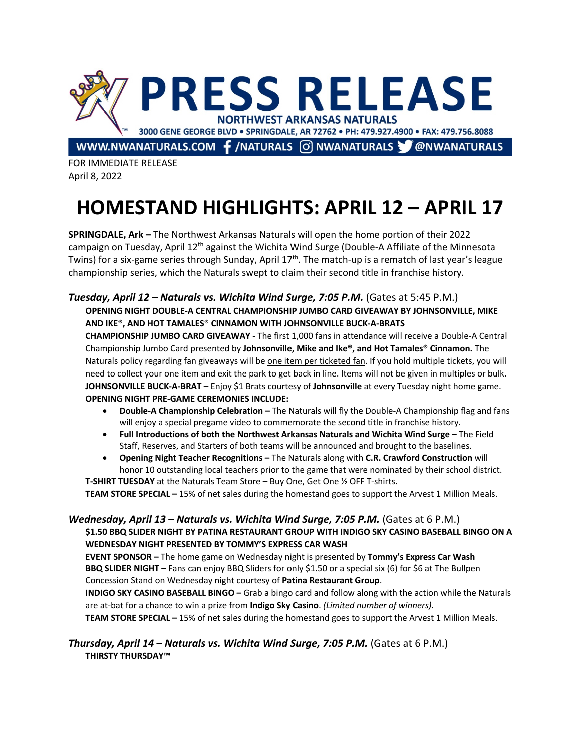

FOR IMMEDIATE RELEASE April 8, 2022

# **HOMESTAND HIGHLIGHTS: APRIL 12 – APRIL 17**

**SPRINGDALE, Ark –** The Northwest Arkansas Naturals will open the home portion of their 2022 campaign on Tuesday, April 12<sup>th</sup> against the Wichita Wind Surge (Double-A Affiliate of the Minnesota Twins) for a six-game series through Sunday, April 17<sup>th</sup>. The match-up is a rematch of last year's league championship series, which the Naturals swept to claim their second title in franchise history.

## *Tuesday, April 12 – Naturals vs. Wichita Wind Surge, 7:05 P.M.* (Gates at 5:45 P.M.) **OPENING NIGHT DOUBLE-A CENTRAL CHAMPIONSHIP JUMBO CARD GIVEAWAY BY JOHNSONVILLE, MIKE AND IKE**®**, AND HOT TAMALES**® **CINNAMON WITH JOHNSONVILLE BUCK-A-BRATS**

**CHAMPIONSHIP JUMBO CARD GIVEAWAY -** The first 1,000 fans in attendance will receive a Double-A Central Championship Jumbo Card presented by **Johnsonville, Mike and Ike®, and Hot Tamales® Cinnamon.** The Naturals policy regarding fan giveaways will be one item per ticketed fan. If you hold multiple tickets, you will need to collect your one item and exit the park to get back in line. Items will not be given in multiples or bulk. **JOHNSONVILLE BUCK-A-BRAT** – Enjoy \$1 Brats courtesy of **Johnsonville** at every Tuesday night home game. **OPENING NIGHT PRE-GAME CEREMONIES INCLUDE:**

- **Double-A Championship Celebration –** The Naturals will fly the Double-A Championship flag and fans will enjoy a special pregame video to commemorate the second title in franchise history.
- **Full Introductions of both the Northwest Arkansas Naturals and Wichita Wind Surge –** The Field Staff, Reserves, and Starters of both teams will be announced and brought to the baselines.
- **Opening Night Teacher Recognitions –** The Naturals along with **C.R. Crawford Construction** will honor 10 outstanding local teachers prior to the game that were nominated by their school district.

**T-SHIRT TUESDAY** at the Naturals Team Store – Buy One, Get One ½ OFF T-shirts. **TEAM STORE SPECIAL –** 15% of net sales during the homestand goes to support the Arvest 1 Million Meals.

#### *Wednesday, April 13 – Naturals vs. Wichita Wind Surge, 7:05 P.M.* (Gates at 6 P.M.) **\$1.50 BBQ SLIDER NIGHT BY PATINA RESTAURANT GROUP WITH INDIGO SKY CASINO BASEBALL BINGO ON A WEDNESDAY NIGHT PRESENTED BY TOMMY'S EXPRESS CAR WASH**

**EVENT SPONSOR –** The home game on Wednesday night is presented by **Tommy's Express Car Wash BBQ SLIDER NIGHT** – Fans can enjoy BBQ Sliders for only \$1.50 or a special six (6) for \$6 at The Bullpen Concession Stand on Wednesday night courtesy of **Patina Restaurant Group**.

**INDIGO SKY CASINO BASEBALL BINGO –** Grab a bingo card and follow along with the action while the Naturals are at-bat for a chance to win a prize from **Indigo Sky Casino**. *(Limited number of winners).*

**TEAM STORE SPECIAL –** 15% of net sales during the homestand goes to support the Arvest 1 Million Meals.

### *Thursday, April 14 – Naturals vs. Wichita Wind Surge, 7:05 P.M.* (Gates at 6 P.M.) **THIRSTY THURSDAY™**